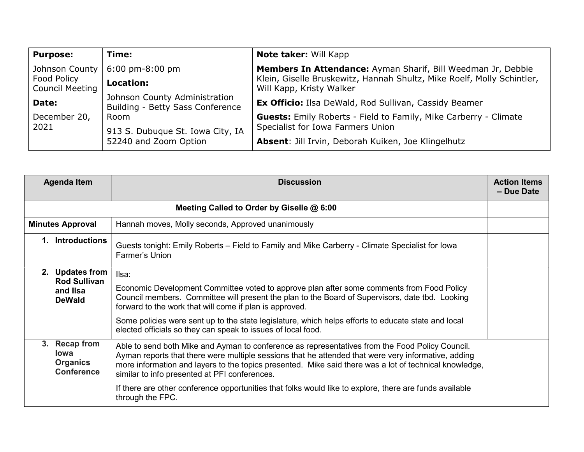| <b>Purpose:</b>                       | Time:                                                             | <b>Note taker: Will Kapp</b>                                                                       |  |
|---------------------------------------|-------------------------------------------------------------------|----------------------------------------------------------------------------------------------------|--|
| Johnson County                        | $6:00 \text{ pm-}8:00 \text{ pm}$                                 | Members In Attendance: Ayman Sharif, Bill Weedman Jr, Debbie                                       |  |
| Food Policy<br><b>Council Meeting</b> | Location:                                                         | Klein, Giselle Bruskewitz, Hannah Shultz, Mike Roelf, Molly Schintler,<br>Will Kapp, Kristy Walker |  |
| Date:                                 | Johnson County Administration<br>Building - Betty Sass Conference | <b>Ex Officio:</b> Ilsa DeWald, Rod Sullivan, Cassidy Beamer                                       |  |
| December 20,<br>2021                  | Room                                                              | <b>Guests:</b> Emily Roberts - Field to Family, Mike Carberry - Climate                            |  |
|                                       | 913 S. Dubuque St. Iowa City, IA<br>52240 and Zoom Option         | Specialist for Iowa Farmers Union                                                                  |  |
|                                       |                                                                   | Absent: Jill Irvin, Deborah Kuiken, Joe Klingelhutz                                                |  |

| <b>Agenda Item</b>                                                  | <b>Discussion</b>                                                                                                                                                                                                                                                                                                                                                                                                                                                                                | <b>Action Items</b><br>- Due Date |
|---------------------------------------------------------------------|--------------------------------------------------------------------------------------------------------------------------------------------------------------------------------------------------------------------------------------------------------------------------------------------------------------------------------------------------------------------------------------------------------------------------------------------------------------------------------------------------|-----------------------------------|
| Meeting Called to Order by Giselle @ 6:00                           |                                                                                                                                                                                                                                                                                                                                                                                                                                                                                                  |                                   |
| <b>Minutes Approval</b>                                             | Hannah moves, Molly seconds, Approved unanimously                                                                                                                                                                                                                                                                                                                                                                                                                                                |                                   |
| <b>Introductions</b>                                                | Guests tonight: Emily Roberts – Field to Family and Mike Carberry - Climate Specialist for lowa<br>Farmer's Union                                                                                                                                                                                                                                                                                                                                                                                |                                   |
| 2. Updates from<br><b>Rod Sullivan</b><br>and IIsa<br><b>DeWald</b> | Ilsa:<br>Economic Development Committee voted to approve plan after some comments from Food Policy<br>Council members. Committee will present the plan to the Board of Supervisors, date tbd. Looking<br>forward to the work that will come if plan is approved.<br>Some policies were sent up to the state legislature, which helps efforts to educate state and local<br>elected officials so they can speak to issues of local food.                                                          |                                   |
| 3. Recap from<br>lowa<br><b>Organics</b><br><b>Conference</b>       | Able to send both Mike and Ayman to conference as representatives from the Food Policy Council.<br>Ayman reports that there were multiple sessions that he attended that were very informative, adding<br>more information and layers to the topics presented. Mike said there was a lot of technical knowledge,<br>similar to info presented at PFI conferences.<br>If there are other conference opportunities that folks would like to explore, there are funds available<br>through the FPC. |                                   |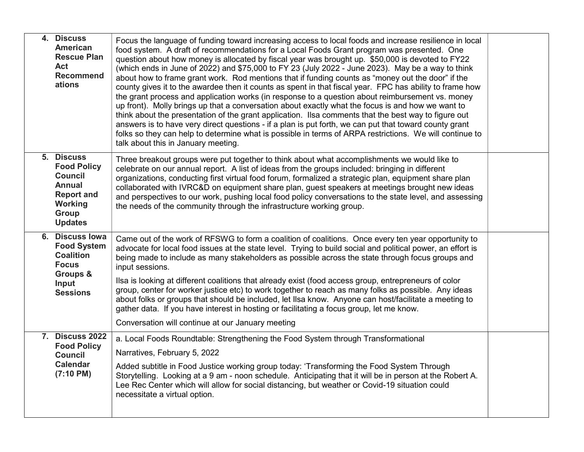| 4. Discuss<br><b>American</b><br><b>Rescue Plan</b><br>Act<br><b>Recommend</b><br>ations                                       | Focus the language of funding toward increasing access to local foods and increase resilience in local<br>food system. A draft of recommendations for a Local Foods Grant program was presented. One<br>question about how money is allocated by fiscal year was brought up. \$50,000 is devoted to FY22<br>(which ends in June of 2022) and \$75,000 to FY 23 (July 2022 - June 2023). May be a way to think<br>about how to frame grant work. Rod mentions that if funding counts as "money out the door" if the<br>county gives it to the awardee then it counts as spent in that fiscal year. FPC has ability to frame how<br>the grant process and application works (in response to a question about reimbursement vs. money<br>up front). Molly brings up that a conversation about exactly what the focus is and how we want to<br>think about the presentation of the grant application. Ilsa comments that the best way to figure out<br>answers is to have very direct questions - if a plan is put forth, we can put that toward county grant<br>folks so they can help to determine what is possible in terms of ARPA restrictions. We will continue to<br>talk about this in January meeting. |  |
|--------------------------------------------------------------------------------------------------------------------------------|-------------------------------------------------------------------------------------------------------------------------------------------------------------------------------------------------------------------------------------------------------------------------------------------------------------------------------------------------------------------------------------------------------------------------------------------------------------------------------------------------------------------------------------------------------------------------------------------------------------------------------------------------------------------------------------------------------------------------------------------------------------------------------------------------------------------------------------------------------------------------------------------------------------------------------------------------------------------------------------------------------------------------------------------------------------------------------------------------------------------------------------------------------------------------------------------------------------|--|
| 5. Discuss<br><b>Food Policy</b><br><b>Council</b><br><b>Annual</b><br><b>Report and</b><br>Working<br>Group<br><b>Updates</b> | Three breakout groups were put together to think about what accomplishments we would like to<br>celebrate on our annual report. A list of ideas from the groups included: bringing in different<br>organizations, conducting first virtual food forum, formalized a strategic plan, equipment share plan<br>collaborated with IVRC&D on equipment share plan, guest speakers at meetings brought new ideas<br>and perspectives to our work, pushing local food policy conversations to the state level, and assessing<br>the needs of the community through the infrastructure working group.                                                                                                                                                                                                                                                                                                                                                                                                                                                                                                                                                                                                               |  |
| 6. Discuss lowa<br><b>Food System</b><br><b>Coalition</b><br><b>Focus</b><br>Groups &<br>Input<br><b>Sessions</b>              | Came out of the work of RFSWG to form a coalition of coalitions. Once every ten year opportunity to<br>advocate for local food issues at the state level. Trying to build social and political power, an effort is<br>being made to include as many stakeholders as possible across the state through focus groups and<br>input sessions.<br>Ilsa is looking at different coalitions that already exist (food access group, entrepreneurs of color<br>group, center for worker justice etc) to work together to reach as many folks as possible. Any ideas<br>about folks or groups that should be included, let IIsa know. Anyone can host/facilitate a meeting to<br>gather data. If you have interest in hosting or facilitating a focus group, let me know.<br>Conversation will continue at our January meeting                                                                                                                                                                                                                                                                                                                                                                                        |  |
| <b>7. Discuss 2022</b><br><b>Food Policy</b><br><b>Council</b><br><b>Calendar</b><br>$(7:10 \text{ PM})$                       | a. Local Foods Roundtable: Strengthening the Food System through Transformational<br>Narratives, February 5, 2022<br>Added subtitle in Food Justice working group today: 'Transforming the Food System Through<br>Storytelling. Looking at a 9 am - noon schedule. Anticipating that it will be in person at the Robert A.<br>Lee Rec Center which will allow for social distancing, but weather or Covid-19 situation could<br>necessitate a virtual option.                                                                                                                                                                                                                                                                                                                                                                                                                                                                                                                                                                                                                                                                                                                                               |  |